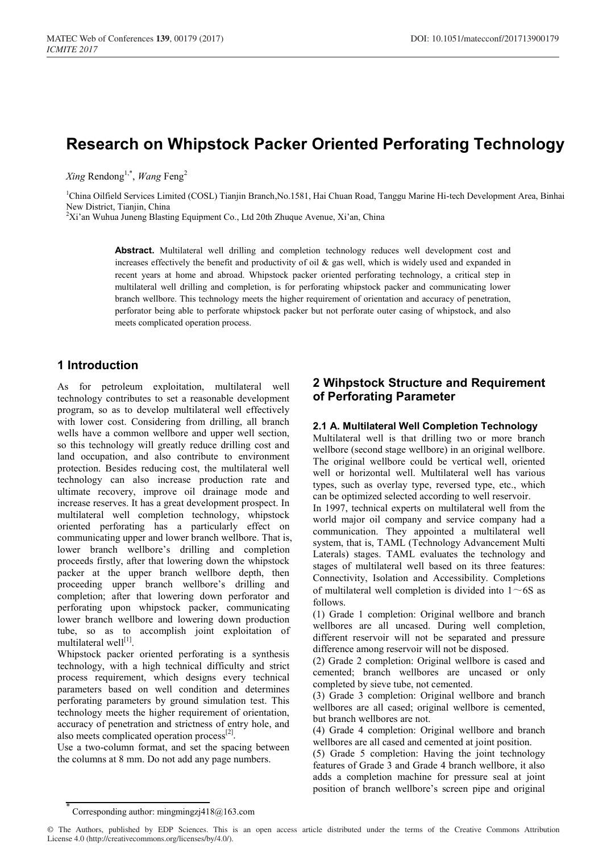# **Research on Whipstock Packer Oriented Perforating Technology**

*Xing* Rendong1,\* , *Wang* Feng<sup>2</sup>

<sup>1</sup>China Oilfield Services Limited (COSL) Tianjin Branch,No.1581, Hai Chuan Road, Tanggu Marine Hi-tech Development Area, Binhai New District, Tianjin, China

 $2Xi$ 'an Wuhua Juneng Blasting Equipment Co., Ltd 20th Zhuque Avenue, Xi'an, China

**Abstract.** Multilateral well drilling and completion technology reduces well development cost and increases effectively the benefit and productivity of oil  $\&$  gas well, which is widely used and expanded in recent years at home and abroad. Whipstock packer oriented perforating technology, a critical step in multilateral well drilling and completion, is for perforating whipstock packer and communicating lower branch wellbore. This technology meets the higher requirement of orientation and accuracy of penetration, perforator being able to perforate whipstock packer but not perforate outer casing of whipstock, and also meets complicated operation process.

### **1 Introduction**

As for petroleum exploitation, multilateral well technology contributes to set a reasonable development program, so as to develop multilateral well effectively with lower cost. Considering from drilling, all branch wells have a common wellbore and upper well section, so this technology will greatly reduce drilling cost and land occupation, and also contribute to environment protection. Besides reducing cost, the multilateral well technology can also increase production rate and ultimate recovery, improve oil drainage mode and increase reserves. It has a great development prospect. In multilateral well completion technology, whipstock oriented perforating has a particularly effect on communicating upper and lower branch wellbore. That is, lower branch wellbore's drilling and completion proceeds firstly, after that lowering down the whipstock packer at the upper branch wellbore depth, then proceeding upper branch wellbore's drilling and completion; after that lowering down perforator and perforating upon whipstock packer, communicating lower branch wellbore and lowering down production tube, so as to accomplish joint exploitation of multilateral well[1].

Whipstock packer oriented perforating is a synthesis technology, with a high technical difficulty and strict process requirement, which designs every technical parameters based on well condition and determines perforating parameters by ground simulation test. This technology meets the higher requirement of orientation, accuracy of penetration and strictness of entry hole, and also meets complicated operation process $^{[2]}$ .

Use a two-column format, and set the spacing between the columns at 8 mm. Do not add any page numbers.

# **2 Wihpstock Structure and Requirement of Perforating Parameter**

#### **2.1 A. Multilateral Well Completion Technology**

Multilateral well is that drilling two or more branch wellbore (second stage wellbore) in an original wellbore. The original wellbore could be vertical well, oriented well or horizontal well. Multilateral well has various types, such as overlay type, reversed type, etc., which can be optimized selected according to well reservoir.

In 1997, technical experts on multilateral well from the world major oil company and service company had a communication. They appointed a multilateral well system, that is, TAML (Technology Advancement Multi Laterals) stages. TAML evaluates the technology and stages of multilateral well based on its three features: Connectivity, Isolation and Accessibility. Completions of multilateral well completion is divided into  $1~\sim 6S$  as follows.

(1) Grade 1 completion: Original wellbore and branch wellbores are all uncased. During well completion, different reservoir will not be separated and pressure difference among reservoir will not be disposed.

(2) Grade 2 completion: Original wellbore is cased and cemented; branch wellbores are uncased or only completed by sieve tube, not cemented.

(3) Grade 3 completion: Original wellbore and branch wellbores are all cased; original wellbore is cemented, but branch wellbores are not.

(4) Grade 4 completion: Original wellbore and branch wellbores are all cased and cemented at joint position.

(5) Grade 5 completion: Having the joint technology features of Grade 3 and Grade 4 branch wellbore, it also adds a completion machine for pressure seal at joint position of branch wellbore's screen pipe and original

Corresponding author: mingmingzj418@163.com

<sup>©</sup> The Authors, published by EDP Sciences. This is an open access article distributed under the terms of the Creative Commons Attribution License 4.0 (http://creativecommons.org/licenses/by/4.0/).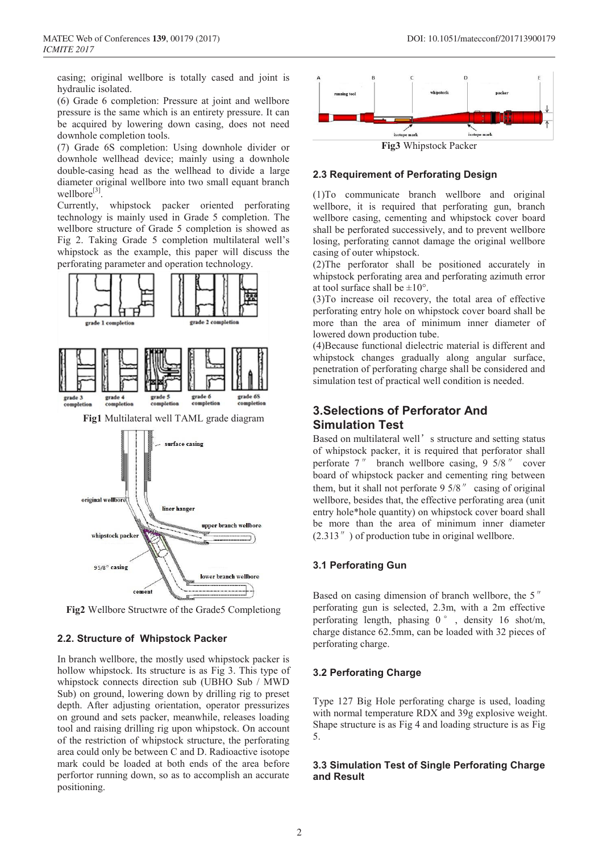casing; original wellbore is totally cased and joint is hydraulic isolated.

(6) Grade 6 completion: Pressure at joint and wellbore pressure is the same which is an entirety pressure. It can be acquired by lowering down casing, does not need downhole completion tools.

(7) Grade 6S completion: Using downhole divider or downhole wellhead device; mainly using a downhole double-casing head as the wellhead to divide a large diameter original wellbore into two small equant branch wellbore<sup>[3]</sup>.

Currently, whipstock packer oriented perforating technology is mainly used in Grade 5 completion. The wellbore structure of Grade 5 completion is showed as Fig 2. Taking Grade 5 completion multilateral well's whipstock as the example, this paper will discuss the perforating parameter and operation technology.



**Fig2** Wellbore Structwre of the Grade5 Completiong

#### **2.2. Structure of Whipstock Packer**

In branch wellbore, the mostly used whipstock packer is hollow whipstock. Its structure is as Fig 3. This type of whipstock connects direction sub (UBHO Sub / MWD Sub) on ground, lowering down by drilling rig to preset depth. After adjusting orientation, operator pressurizes on ground and sets packer, meanwhile, releases loading tool and raising drilling rig upon whipstock. On account of the restriction of whipstock structure, the perforating area could only be between C and D. Radioactive isotope mark could be loaded at both ends of the area before perfortor running down, so as to accomplish an accurate positioning.



#### **2.3 Requirement of Perforating Design**

(1)To communicate branch wellbore and original wellbore, it is required that perforating gun, branch wellbore casing, cementing and whipstock cover board shall be perforated successively, and to prevent wellbore losing, perforating cannot damage the original wellbore casing of outer whipstock.

(2)The perforator shall be positioned accurately in whipstock perforating area and perforating azimuth error at tool surface shall be  $\pm 10^{\circ}$ .

(3)To increase oil recovery, the total area of effective perforating entry hole on whipstock cover board shall be more than the area of minimum inner diameter of lowered down production tube.

(4)Because functional dielectric material is different and whipstock changes gradually along angular surface, penetration of perforating charge shall be considered and simulation test of practical well condition is needed.

### **3.Selections of Perforator And Simulation Test**

Based on multilateral well's structure and setting status of whipstock packer, it is required that perforator shall perforate 7″ branch wellbore casing, 9 5/8″ cover board of whipstock packer and cementing ring between them, but it shall not perforate 9 5/8″ casing of original wellbore, besides that, the effective perforating area (unit entry hole\*hole quantity) on whipstock cover board shall be more than the area of minimum inner diameter (2.313″) of production tube in original wellbore.

#### **3.1 Perforating Gun**

Based on casing dimension of branch wellbore, the 5" perforating gun is selected, 2.3m, with a 2m effective perforating length, phasing 0°, density 16 shot/m, charge distance 62.5mm, can be loaded with 32 pieces of perforating charge.

#### **3.2 Perforating Charge**

Type 127 Big Hole perforating charge is used, loading with normal temperature RDX and 39g explosive weight. Shape structure is as Fig 4 and loading structure is as Fig 5.

#### **3.3 Simulation Test of Single Perforating Charge and Result**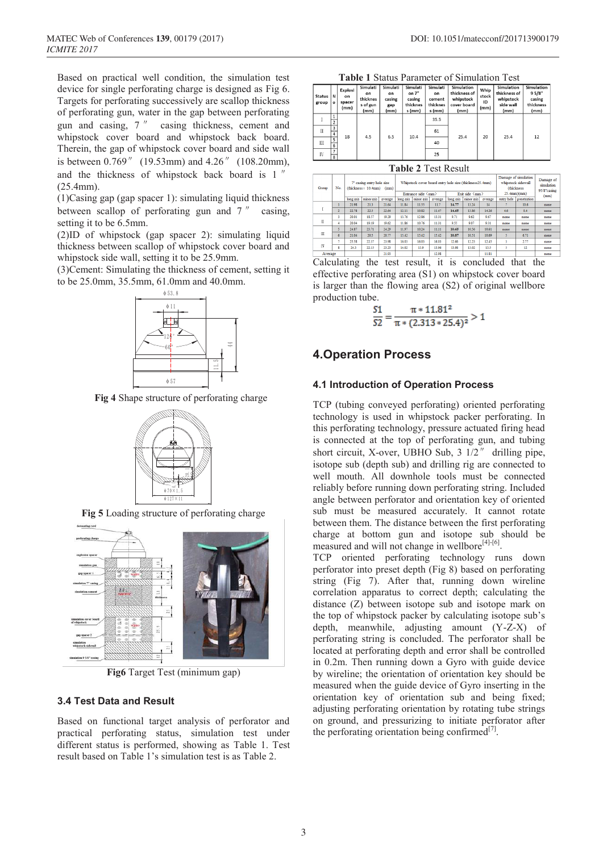Based on practical well condition, the simulation test device for single perforating charge is designed as Fig 6. Targets for perforating successively are scallop thickness of perforating gun, water in the gap between perforating gun and casing, 7 ″ casing thickness, cement and whipstock cover board and whipstock back board. Therein, the gap of whipstock cover board and side wall is between 0.769″ (19.53mm) and 4.26″ (108.20mm), and the thickness of whipstock back board is 1 ″ (25.4mm).

(1)Casing gap (gap spacer 1): simulating liquid thickness between scallop of perforating gun and 7" casing, setting it to be 6.5mm.

(2)ID of whipstock (gap spacer 2): simulating liquid thickness between scallop of whipstock cover board and whipstock side wall, setting it to be 25.9mm.

(3)Cement: Simulating the thickness of cement, setting it to be 25.0mm, 35.5mm, 61.0mm and 40.0mm.



**Fig 4** Shape structure of perforating charge



**Fig 5** Loading structure of perforating charge



**Fig6** Target Test (minimum gap)

#### **3.4 Test Data and Result**

Based on functional target analysis of perforator and practical perforating status, simulation test under different status is performed, showing as Table 1. Test result based on Table 1's simulation test is as Table 2.

| <b>Table 1 Status Parameter of Simulation Test</b> |
|----------------------------------------------------|
|----------------------------------------------------|

| <b>Status</b><br>group | N<br>$\Omega$ | Explosi<br>on<br>spacer<br>(mm) | $\blacksquare$ where $\blacksquare$ such $\blacksquare$<br>Simulati<br>on<br>thicknes<br>s of gun<br>(mm) | Simulati<br>on<br>casing<br>gap<br>(mm) | Simulati<br>on 7"<br>casing<br>thicknes<br>s (mm) | Simulati<br>on<br>cement<br>thicknes<br>s (mm) | $\mathbf{u}$ $\mathbf{u}$ $\mathbf{u}$ $\mathbf{v}$ $\mathbf{v}$ $\mathbf{v}$ $\mathbf{u}$ $\mathbf{u}$ $\mathbf{u}$ $\mathbf{v}$ $\mathbf{v}$ $\mathbf{v}$<br><b>Simulation</b><br>thickness of<br>whipstock<br>cover board<br>(mm) | Whip<br>stock<br>ID<br>(mm) | <b>Simulation</b><br>thickness of<br>whipstock<br>side wall<br>(mm) | Simulation<br>95/8"<br>casing<br>thickness<br>(mm) |
|------------------------|---------------|---------------------------------|-----------------------------------------------------------------------------------------------------------|-----------------------------------------|---------------------------------------------------|------------------------------------------------|--------------------------------------------------------------------------------------------------------------------------------------------------------------------------------------------------------------------------------------|-----------------------------|---------------------------------------------------------------------|----------------------------------------------------|
|                        |               | 18                              | 4.5                                                                                                       | 6.5                                     | 10.4                                              | 35.5                                           | 25.4                                                                                                                                                                                                                                 | 20                          | 25.4                                                                | 12                                                 |
| Π                      | 3<br>4        |                                 |                                                                                                           |                                         |                                                   | 61                                             |                                                                                                                                                                                                                                      |                             |                                                                     |                                                    |
| Ш                      | 5<br>6        |                                 |                                                                                                           |                                         |                                                   | 40                                             |                                                                                                                                                                                                                                      |                             |                                                                     |                                                    |
| IV                     | 8             |                                 |                                                                                                           |                                         |                                                   | 25                                             |                                                                                                                                                                                                                                      |                             |                                                                     |                                                    |

#### **Table 2** Test Result

| Group        | No.            | 7" casing entry hole size<br>$(this the ss: 10.4mm)$<br>(mm) |            |         | Whipstock cover board entry hole size (thickness25.4mm)<br>Exit side (mm)<br>Entrance side (<br>(mm) |           |         |           |            |              | Damage of simulation<br>whipstock sidewall<br><i>(thickness</i><br>$25.4$ mm $)(mm)$ |             | Damage of<br>simulation<br>95/8"casing |
|--------------|----------------|--------------------------------------------------------------|------------|---------|------------------------------------------------------------------------------------------------------|-----------|---------|-----------|------------|--------------|--------------------------------------------------------------------------------------|-------------|----------------------------------------|
|              |                | long axis                                                    | minor axis | average | long axis                                                                                            | minor aus | average | long axis | minor axis | average      | entry hole                                                                           | penetration | (mm)                                   |
|              |                | 21.98                                                        | 21.3       | 21.64   | 11.84                                                                                                | 11.55     | 11.7    | 14.77     | 13.24      | 14           |                                                                                      | 10.6        | none                                   |
|              | $\overline{2}$ | 22.78                                                        | 22.5       | 22.64   | 12.11                                                                                                | 10.82     | 11.47   | 14.65     | 13.86      | 14.26        | 4.6                                                                                  | 8.4         | none                                   |
|              | ٦              | 20.01                                                        | 18.57      | 19.29   | 13.76                                                                                                | 12.86     | 13.31   | 9.71      | 9.62       | 9.67         | none                                                                                 | none        | none                                   |
| Π            | 4              | 20.04                                                        | 19.19      | 19.62   | 11.86                                                                                                | 10.76     | 11.31   | 9.55      | 9.07       | 9.31         | none                                                                                 | none        | none                                   |
|              |                | 24.87                                                        | 23.71      | 24.29   | 11.97                                                                                                | 10.24     | 11.11   | 10.65     | 10.56      | 10.61        | none                                                                                 | none        | none                                   |
| Ш            | 6              | 21.04                                                        | 20.5       | 20.77   | 15.42                                                                                                | 15.42     | 15.42   | 10.87     | 10.51      | 10.69        |                                                                                      | 6.71        | none                                   |
| $\mathbb{F}$ | ٠              | 25.58                                                        | 22.37      | 23.98   | 16.03                                                                                                | 16.03     | 16.03   | 12.66     | 12.23      | 12.45        | ٩                                                                                    | 2.77        | none                                   |
|              | s              | 24.3                                                         | 22.15      | 23.23   | 14.02                                                                                                | 13.9      | 13.96   | 13.98     | 13.02      | 13.5         | s                                                                                    | 12          | none                                   |
| . .          |                |                                                              |            | .       |                                                                                                      |           | $  -$   |           |            | $\sim$ $  -$ |                                                                                      |             |                                        |

Calculating the test result, it is concluded that the effective perforating area (S1) on whipstock cover board is larger than the flowing area (S2) of original wellbore production tube.

$$
\frac{51}{52} = \frac{\pi * 11.81^2}{\pi * (2.313 * 25.4)^2} > 1
$$

#### **4.Operation Process**

#### **4.1 Introduction of Operation Process**

TCP (tubing conveyed perforating) oriented perforating technology is used in whipstock packer perforating. In this perforating technology, pressure actuated firing head is connected at the top of perforating gun, and tubing short circuit, X-over, UBHO Sub, 3 1/2″ drilling pipe, isotope sub (depth sub) and drilling rig are connected to well mouth. All downhole tools must be connected reliably before running down perforating string. Included angle between perforator and orientation key of oriented sub must be measured accurately. It cannot rotate between them. The distance between the first perforating charge at bottom gun and isotope sub should be measured and will not change in wellbore<sup>[4]-[6]</sup>.

TCP oriented perforating technology runs down perforator into preset depth (Fig 8) based on perforating string (Fig 7). After that, running down wireline correlation apparatus to correct depth; calculating the distance (Z) between isotope sub and isotope mark on the top of whipstock packer by calculating isotope sub's depth, meanwhile, adjusting amount (Y-Z-X) of perforating string is concluded. The perforator shall be located at perforating depth and error shall be controlled in 0.2m. Then running down a Gyro with guide device by wireline; the orientation of orientation key should be measured when the guide device of Gyro inserting in the orientation key of orientation sub and being fixed; adjusting perforating orientation by rotating tube strings on ground, and pressurizing to initiate perforator after the perforating orientation being confirmed $^{[7]}$ .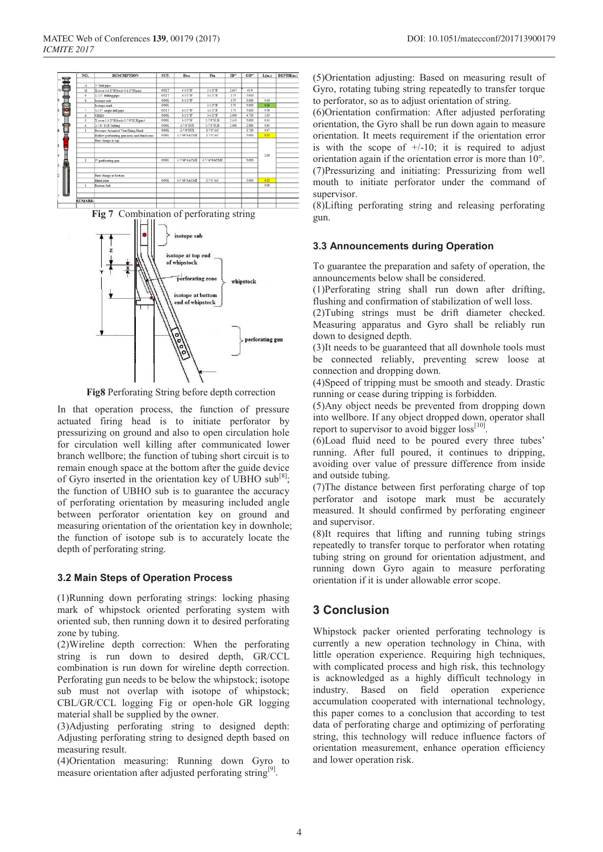



**Fig8** Perforating String before depth correction

In that operation process, the function of pressure actuated firing head is to initiate perforator by pressurizing on ground and also to open circulation hole for circulation well killing after communicated lower branch wellbore; the function of tubing short circuit is to remain enough space at the bottom after the guide device of Gyro inserted in the orientation key of UBHO sub<sup>[8]</sup>; the function of UBHO sub is to guarantee the accuracy of perforating orientation by measuring included angle between perforator orientation key on ground and measuring orientation of the orientation key in downhole; the function of isotope sub is to accurately locate the depth of perforating string.

#### **3.2 Main Steps of Operation Process**

(1)Running down perforating strings: locking phasing mark of whipstock oriented perforating system with oriented sub, then running down it to desired perforating zone by tubing.

(2)Wireline depth correction: When the perforating string is run down to desired depth, GR/CCL combination is run down for wireline depth correction. Perforating gun needs to be below the whipstock; isotope sub must not overlap with isotope of whipstock; CBL/GR/CCL logging Fig or open-hole GR logging material shall be supplied by the owner.

(3)Adjusting perforating string to designed depth: Adjusting perforating string to designed depth based on measuring result.

(4)Orientation measuring: Running down Gyro to measure orientation after adjusted perforating string<sup>[9]</sup>.

(5)Orientation adjusting: Based on measuring result of Gyro, rotating tubing string repeatedly to transfer torque to perforator, so as to adjust orientation of string.

(6)Orientation confirmation: After adjusted perforating orientation, the Gyro shall be run down again to measure orientation. It meets requirement if the orientation error is with the scope of  $+/-10$ ; it is required to adjust orientation again if the orientation error is more than 10°. (7)Pressurizing and initiating: Pressurizing from well mouth to initiate perforator under the command of supervisor.

(8)Lifting perforating string and releasing perforating gun.

#### **3.3 Announcements during Operation**

To guarantee the preparation and safety of operation, the announcements below shall be considered.

(1)Perforating string shall run down after drifting, flushing and confirmation of stabilization of well loss.

(2)Tubing strings must be drift diameter checked. Measuring apparatus and Gyro shall be reliably run down to designed depth.

(3)It needs to be guaranteed that all downhole tools must be connected reliably, preventing screw loose at connection and dropping down.

(4)Speed of tripping must be smooth and steady. Drastic running or cease during tripping is forbidden.

(5)Any object needs be prevented from dropping down into wellbore. If any object dropped down, operator shall report to supervisor to avoid bigger  $loss<sup>[10]</sup>$ .

(6)Load fluid need to be poured every three tubes' running. After full poured, it continues to dripping, avoiding over value of pressure difference from inside and outside tubing.

(7)The distance between first perforating charge of top perforator and isotope mark must be accurately measured. It should confirmed by perforating engineer and supervisor.

(8)It requires that lifting and running tubing strings repeatedly to transfer torque to perforator when rotating tubing string on ground for orientation adjustment, and running down Gyro again to measure perforating orientation if it is under allowable error scope.

# **3 Conclusion**

Whipstock packer oriented perforating technology is currently a new operation technology in China, with little operation experience. Requiring high techniques, with complicated process and high risk, this technology is acknowledged as a highly difficult technology in industry. Based on field operation experience accumulation cooperated with international technology, this paper comes to a conclusion that according to test data of perforating charge and optimizing of perforating string, this technology will reduce influence factors of orientation measurement, enhance operation efficiency and lower operation risk.